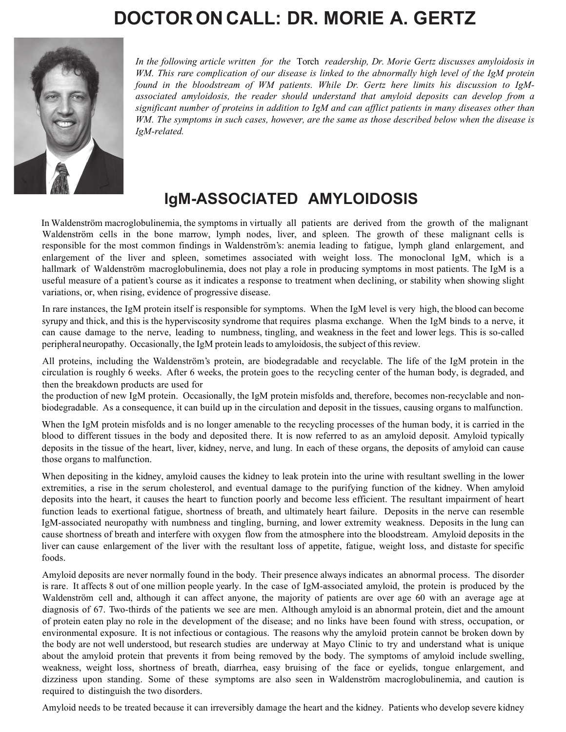

*Dr. Morie A. Gertz*

## $0 \, \text{N}$  :60(, +  $\text{N}$  6:0: **by Morie A. Gertz, MD**

*In the following article written for the* Torch *readership, Dr. Morie Gertz discusses amyloidosis in WM. This rare complication of our disease is linked to the abnormally high level of the IgM protein found in the bloodstream of WM patients. While Dr. Gertz here limits his discussion to IgM- associated amyloidosis, the reader should understand that amyloid deposits can develop from a significant number of proteins in addition to IgM and can afflict patients in many diseases other than WM. The symptoms in such cases, however, are the same as those described below when the disease is IgM-related.*

In Waldenström macroglobulinemia, the symptoms in virtually all patients are derived from the growth of the malignant Waldenström cells in the bone marrow, lymph nodes, liver, and spleen. The growth of these malignant cells is responsible for the most common findings in Waldenström's: anemia leading to fatigue, lymph gland enlargement, and enlargement of the liver and spleen, sometimes associated with weight loss. The monoclonal IgM, which is a hallmark of Waldenström macroglobulinemia, does not play a role in producing symptoms in most patients. The IgM is a useful measure of a patient's course as it indicates a response to treatment when declining, or stability when showing slight variations, or, when rising, evidence of progressive disease.

In rare instances, the IgM protein itself is responsible for symptoms. When the IgM level is very high, the blood can become syrupy and thick, and this is the hyperviscosity syndrome that requires plasma exchange. When the IgM binds to a nerve, it can cause damage to the nerve, leading to numbness, tingling, and weakness in the feet and lower legs. This is so-called peripheral neuropathy. Occasionally, the IgM protein leads to amyloidosis, the subject of this review.

All proteins, including the Waldenström's protein, are biodegradable and recyclable. The life of the IgM protein in the circulation is roughly 6 weeks. After 6 weeks, the protein goes to the recycling center of the human body, is degraded, and then the breakdown products are used for the production of new IgM protein. Occasionally, the IgM protein misfolds and, therefore, becomes non-recyclable and non- biodegradable. As a consequence, it can build up in the circulation and deposit in the tissues, causing organs to malfunction.

When the IgM protein misfolds and is no longer amenable to the recycling processes of the human body, it is carried in the blood to different tissues in the body and deposited there. It is now referred to as an amyloid deposit. Amyloid typically deposits in the tissue of the heart, liver, kidney, nerve, and lung. In each of these organs, the deposits of amyloid can cause those organs to malfunction.

When depositing in the kidney, amyloid causes the kidney to leak protein into the urine with resultant swelling in the lower extremities, a rise in the serum cholesterol, and eventual damage to the purifying function of the kidney. When amyloid deposits into the heart, it causes the heart to function poorly and become less efficient. The resultant impairment of heart function leads to exertional fatigue, shortness of breath, and ultimately heart failure. Deposits in the nerve can resemble IgM-associated neuropathy with numbness and tingling, burning, and lower extremity weakness. Deposits in the lung can cause shortness of breath and interfere with oxygen flow from the atmosphere into the bloodstream. Amyloid deposits in the liver can cause enlargement of the liver with the resultant loss of appetite, fatigue, weight loss, and distaste for specific foods.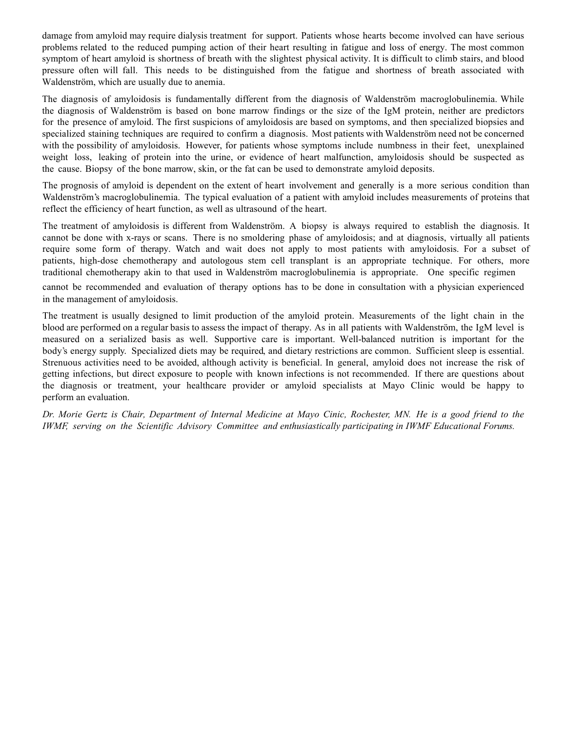Amyloid deposits are never normally found in the body. Their presence always indicates an abnormal process. The disorder is rare. It affects 8 out of one million people yearly. In the case of IgM-associated amyloid, the protein is produced by the Waldenström cell and, although it can affect anyone, the majority of patients are over age 60 with an average age at diagnosis of 67. Two-thirds of the patients we see are men. Although amyloid is an abnormal protein, diet and the amount of protein eaten play no role in the development of the disease; and no links have been found with stress, occupation, or environmental exposure. It is not infectious or contagious. The reasons why the amyloid protein cannot be broken down by the body are not well understood, but research studies are underway at Mayo Clinic to try and understand what is unique about the amyloid protein that prevents it from being removed by the body. The symptoms of amyloid include swelling, weakness, weight loss, shortness of breath, diarrhea, easy bruising of the face or eyelids, tongue enlargement, and dizziness upon standing. Some of these symptoms are also seen in Waldenström macroglobulinemia, and caution is required to distinguish the two disorders.

Amyloid needs to be treated because it can irreversibly damage the heart and the kidney. Patients who develop severe kidney damage from amyloid may require dialysis treatment for support. Patients whose hearts become involved can have serious problems related to the reduced pumping action of their heart resulting in fatigue and loss of energy. The most common symptom of heart amyloid is shortness of breath with the slightest physical activity. It is difficult to climb stairs, and blood pressure often will fall. This needs to be distinguished from the fatigue and shortness of breath associated with Waldenström, which are usually due to anemia.

The diagnosis of amyloidosis is fundamentally different from the diagnosis of Waldenström macroglobulinemia. While the diagnosis of Waldenström is based on bone marrow findings or the size of the IgM protein, neither are predictors for the presence of amyloid. The first suspicions of amyloidosis are based on symptoms, and then specialized biopsies and specialized staining techniques are required to confirm a diagnosis. Most patients with Waldenström need not be concerned with the possibility of amyloidosis. However, for patients whose symptoms include numbness in their feet, unexplained weight loss, leaking of protein into the urine, or evidence of heart malfunction, amyloidosis should be suspected as the cause. Biopsy of the bone marrow, skin, or the fat can be used to demonstrate amyloid deposits.

The prognosis of amyloid is dependent on the extent of heart involvement and generally is a more serious condition than Waldenström's macroglobulinemia. The typical evaluation of a patient with amyloid includes measurements of proteins that reflect the efficiency of heart function, as well as ultrasound of the heart.

The treatment of amyloidosis is different from Waldenström. A biopsy is always required to establish the diagnosis. It cannot be done with x-rays or scans. There is no smoldering phase of amyloidosis; and at diagnosis, virtually all patients require some form of therapy. Watch and wait does not apply to most patients with amyloidosis. For a subset of patients, high-dose chemotherapy and autologous stem cell transplant is an appropriate technique. For others, more traditional chemotherapy akin to that used in Waldenström macroglobulinemia is appropriate. One specific regimen cannot be recommended and evaluation of therapy options has to be done in consultation with a physician experienced in the management of amyloidosis.

The treatment is usually designed to limit production of the amyloid protein. Measurements of the light chain in the blood are performed on a regular basis to assess the impact of therapy. As in all patients with Waldenström, the IgM level is measured on a serialized basis as well. Supportive care is important. Well-balanced nutrition is important for the body's energy supply. Specialized diets may be required, and dietary restrictions are common. Sufficient sleep is essential. Strenuous activities need to be avoided, although activity is beneficial. In general, amyloid does not increase the risk of getting infections, but direct exposure to people with known infections is not recommended. If there are questions about the diagnosis or treatment, your healthcare provider or amyloid specialists at Mayo Clinic would be happy to perform an evaluation.